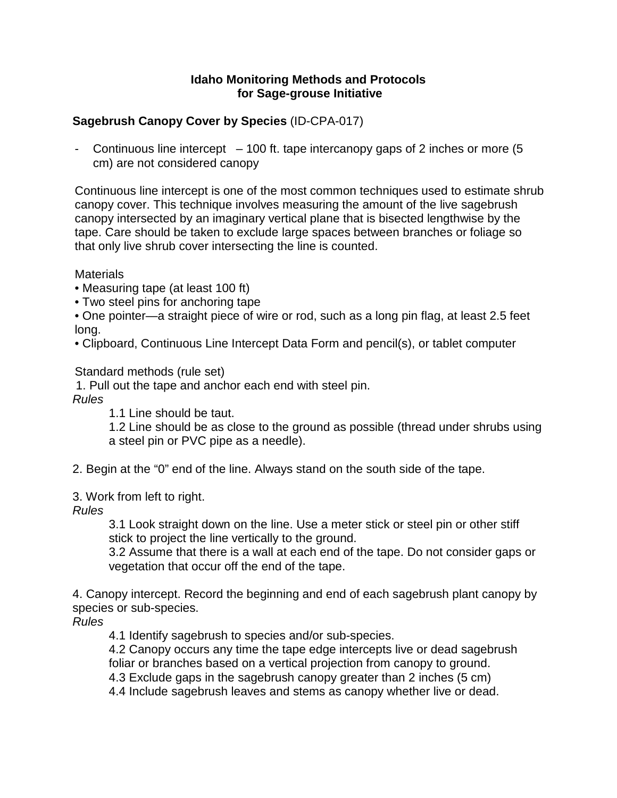#### **Idaho Monitoring Methods and Protocols for Sage-grouse Initiative**

## **Sagebrush Canopy Cover by Species** (ID-CPA-017)

- Continuous line intercept – 100 ft. tape intercanopy gaps of 2 inches or more (5 cm) are not considered canopy

Continuous line intercept is one of the most common techniques used to estimate shrub canopy cover. This technique involves measuring the amount of the live sagebrush canopy intersected by an imaginary vertical plane that is bisected lengthwise by the tape. Care should be taken to exclude large spaces between branches or foliage so that only live shrub cover intersecting the line is counted.

**Materials** 

- Measuring tape (at least 100 ft)
- Two steel pins for anchoring tape
- One pointer—a straight piece of wire or rod, such as a long pin flag, at least 2.5 feet long.
- Clipboard, Continuous Line Intercept Data Form and pencil(s), or tablet computer

Standard methods (rule set)

1. Pull out the tape and anchor each end with steel pin.

*Rules*

1.1 Line should be taut.

1.2 Line should be as close to the ground as possible (thread under shrubs using a steel pin or PVC pipe as a needle).

2. Begin at the "0" end of the line. Always stand on the south side of the tape.

3. Work from left to right.

*Rules*

3.1 Look straight down on the line. Use a meter stick or steel pin or other stiff stick to project the line vertically to the ground.

3.2 Assume that there is a wall at each end of the tape. Do not consider gaps or vegetation that occur off the end of the tape.

4. Canopy intercept. Record the beginning and end of each sagebrush plant canopy by species or sub-species.

*Rules*

4.1 Identify sagebrush to species and/or sub-species.

4.2 Canopy occurs any time the tape edge intercepts live or dead sagebrush foliar or branches based on a vertical projection from canopy to ground.

4.3 Exclude gaps in the sagebrush canopy greater than 2 inches (5 cm)

4.4 Include sagebrush leaves and stems as canopy whether live or dead.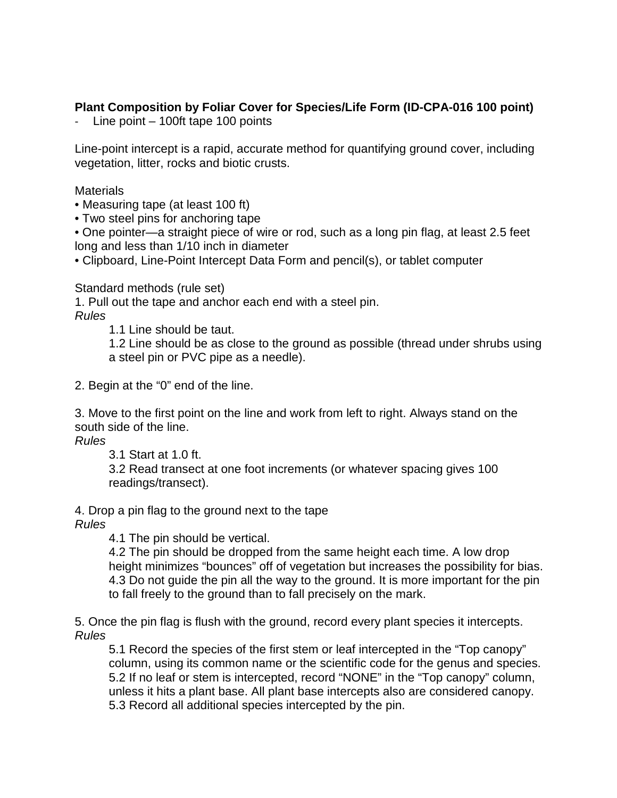# **Plant Composition by Foliar Cover for Species/Life Form (ID-CPA-016 100 point)**

- Line point – 100ft tape 100 points

Line-point intercept is a rapid, accurate method for quantifying ground cover, including vegetation, litter, rocks and biotic crusts.

**Materials** 

• Measuring tape (at least 100 ft)

• Two steel pins for anchoring tape

• One pointer—a straight piece of wire or rod, such as a long pin flag, at least 2.5 feet long and less than 1/10 inch in diameter

• Clipboard, Line-Point Intercept Data Form and pencil(s), or tablet computer

Standard methods (rule set)

1. Pull out the tape and anchor each end with a steel pin.

*Rules*

1.1 Line should be taut.

1.2 Line should be as close to the ground as possible (thread under shrubs using a steel pin or PVC pipe as a needle).

2. Begin at the "0" end of the line.

3. Move to the first point on the line and work from left to right. Always stand on the south side of the line.

*Rules*

3.1 Start at 1.0 ft.

3.2 Read transect at one foot increments (or whatever spacing gives 100 readings/transect).

4. Drop a pin flag to the ground next to the tape

*Rules*

4.1 The pin should be vertical.

4.2 The pin should be dropped from the same height each time. A low drop height minimizes "bounces" off of vegetation but increases the possibility for bias. 4.3 Do not guide the pin all the way to the ground. It is more important for the pin to fall freely to the ground than to fall precisely on the mark.

5. Once the pin flag is flush with the ground, record every plant species it intercepts. *Rules*

5.1 Record the species of the first stem or leaf intercepted in the "Top canopy" column, using its common name or the scientific code for the genus and species. 5.2 If no leaf or stem is intercepted, record "NONE" in the "Top canopy" column, unless it hits a plant base. All plant base intercepts also are considered canopy. 5.3 Record all additional species intercepted by the pin.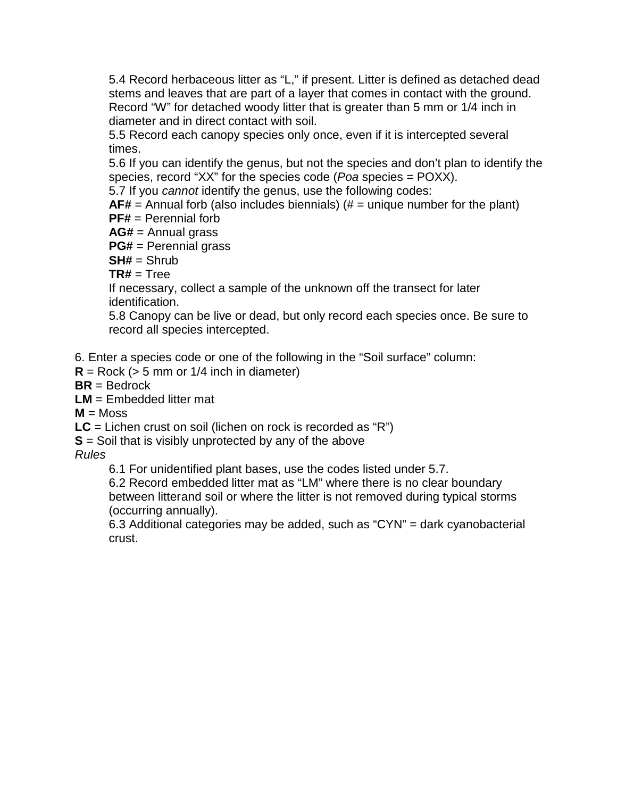5.4 Record herbaceous litter as "L," if present. Litter is defined as detached dead stems and leaves that are part of a layer that comes in contact with the ground. Record "W" for detached woody litter that is greater than 5 mm or 1/4 inch in diameter and in direct contact with soil.

5.5 Record each canopy species only once, even if it is intercepted several times.

5.6 If you can identify the genus, but not the species and don't plan to identify the species, record "XX" for the species code (*Poa* species = POXX).

5.7 If you *cannot* identify the genus, use the following codes:

**AF#** = Annual forb (also includes biennials) (# = unique number for the plant) **PF#** = Perennial forb

**AG#** = Annual grass **PG#** = Perennial grass

**SH#** = Shrub

 $TR# = Truee$ 

If necessary, collect a sample of the unknown off the transect for later identification.

5.8 Canopy can be live or dead, but only record each species once. Be sure to record all species intercepted.

6. Enter a species code or one of the following in the "Soil surface" column:

 $R = \text{Rock}$  ( $> 5$  mm or  $1/4$  inch in diameter)

**BR** = Bedrock

**LM** = Embedded litter mat

 $M =$ Moss

**LC** = Lichen crust on soil (lichen on rock is recorded as "R")

**S** = Soil that is visibly unprotected by any of the above

*Rules*

6.1 For unidentified plant bases, use the codes listed under 5.7.

6.2 Record embedded litter mat as "LM" where there is no clear boundary between litterand soil or where the litter is not removed during typical storms (occurring annually).

6.3 Additional categories may be added, such as "CYN" = dark cyanobacterial crust.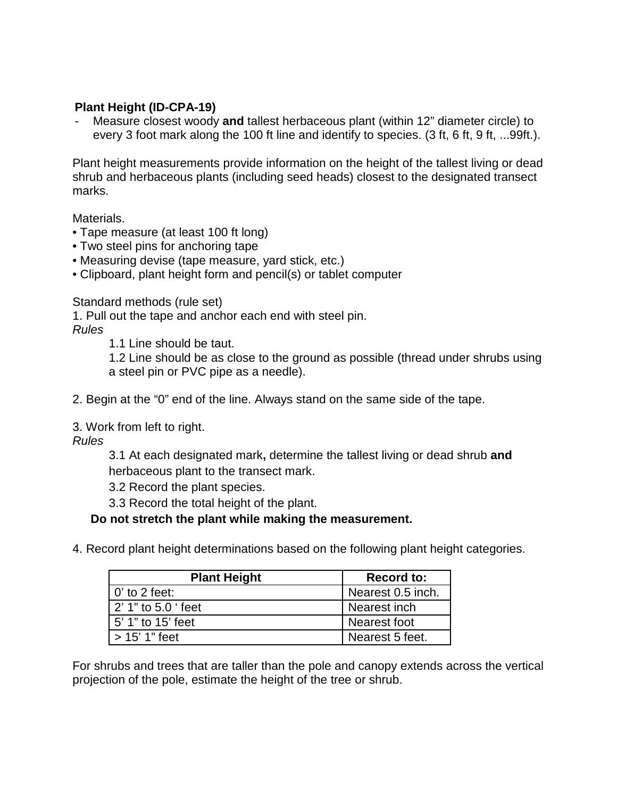### **Plant Height (ID-CPA-19)**

Measure closest woody and tallest herbaceous plant (within 12" diameter circle) to every 3 foot mark along the 100 ft line and identify to species. (3 ft, 6 ft, 9 ft, ...99ft.).

Plant height measurements provide information on the height of the tallest living or dead shrub and herbaceous plants (including seed heads) closest to the designated transect marks.

Materials.

- Tape measure (at least 100 ft long)
- Two steel pins for anchoring tape
- Measuring devise (tape measure, yard stick, etc.)
- Clipboard, plant height form and pencil(s) or tablet computer

Standard methods (rule set)

1. Pull out the tape and anchor each end with steel pin. *Rules*

1.1 Line should be taut.

1.2 Line should be as close to the ground as possible (thread under shrubs using a steel pin or PVC pipe as a needle).

- 2. Begin at the "0" end of the line. Always stand on the same side of the tape.
- 3. Work from left to right.

*Rules*

3.1 At each designated mark**,** determine the tallest living or dead shrub **and** herbaceous plant to the transect mark.

3.2 Record the plant species.

3.3 Record the total height of the plant.

**Do not stretch the plant while making the measurement.** 

4. Record plant height determinations based on the following plant height categories.

| <b>Plant Height</b> | <b>Record to:</b> |
|---------------------|-------------------|
| $0'$ to 2 feet:     | Nearest 0.5 inch. |
| 2' 1" to 5.0 ' feet | Nearest inch      |
| 5' 1" to 15' feet   | Nearest foot      |
| $>$ 15' 1" feet     | Nearest 5 feet.   |

For shrubs and trees that are taller than the pole and canopy extends across the vertical projection of the pole, estimate the height of the tree or shrub.